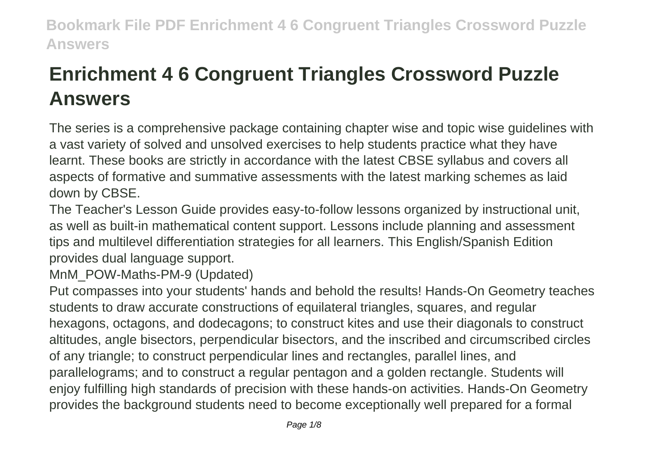# **Enrichment 4 6 Congruent Triangles Crossword Puzzle Answers**

The series is a comprehensive package containing chapter wise and topic wise guidelines with a vast variety of solved and unsolved exercises to help students practice what they have learnt. These books are strictly in accordance with the latest CBSE syllabus and covers all aspects of formative and summative assessments with the latest marking schemes as laid down by CBSE.

The Teacher's Lesson Guide provides easy-to-follow lessons organized by instructional unit, as well as built-in mathematical content support. Lessons include planning and assessment tips and multilevel differentiation strategies for all learners. This English/Spanish Edition provides dual language support.

MnM\_POW-Maths-PM-9 (Updated)

Put compasses into your students' hands and behold the results! Hands-On Geometry teaches students to draw accurate constructions of equilateral triangles, squares, and regular hexagons, octagons, and dodecagons; to construct kites and use their diagonals to construct altitudes, angle bisectors, perpendicular bisectors, and the inscribed and circumscribed circles of any triangle; to construct perpendicular lines and rectangles, parallel lines, and parallelograms; and to construct a regular pentagon and a golden rectangle. Students will enjoy fulfilling high standards of precision with these hands-on activities. Hands-On Geometry provides the background students need to become exceptionally well prepared for a formal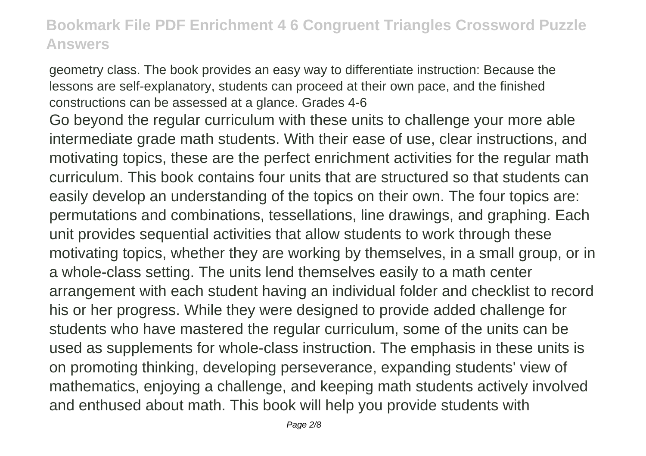geometry class. The book provides an easy way to differentiate instruction: Because the lessons are self-explanatory, students can proceed at their own pace, and the finished constructions can be assessed at a glance. Grades 4-6

Go beyond the regular curriculum with these units to challenge your more able intermediate grade math students. With their ease of use, clear instructions, and motivating topics, these are the perfect enrichment activities for the regular math curriculum. This book contains four units that are structured so that students can easily develop an understanding of the topics on their own. The four topics are: permutations and combinations, tessellations, line drawings, and graphing. Each unit provides sequential activities that allow students to work through these motivating topics, whether they are working by themselves, in a small group, or in a whole-class setting. The units lend themselves easily to a math center arrangement with each student having an individual folder and checklist to record his or her progress. While they were designed to provide added challenge for students who have mastered the regular curriculum, some of the units can be used as supplements for whole-class instruction. The emphasis in these units is on promoting thinking, developing perseverance, expanding students' view of mathematics, enjoying a challenge, and keeping math students actively involved and enthused about math. This book will help you provide students with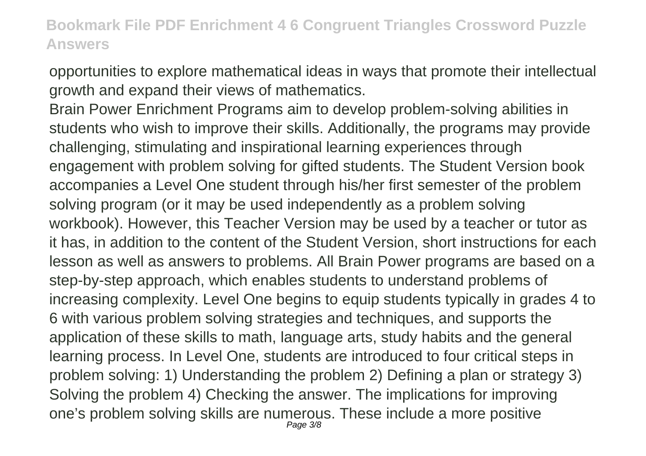opportunities to explore mathematical ideas in ways that promote their intellectual growth and expand their views of mathematics.

Brain Power Enrichment Programs aim to develop problem-solving abilities in students who wish to improve their skills. Additionally, the programs may provide challenging, stimulating and inspirational learning experiences through engagement with problem solving for gifted students. The Student Version book accompanies a Level One student through his/her first semester of the problem solving program (or it may be used independently as a problem solving workbook). However, this Teacher Version may be used by a teacher or tutor as it has, in addition to the content of the Student Version, short instructions for each lesson as well as answers to problems. All Brain Power programs are based on a step-by-step approach, which enables students to understand problems of increasing complexity. Level One begins to equip students typically in grades 4 to 6 with various problem solving strategies and techniques, and supports the application of these skills to math, language arts, study habits and the general learning process. In Level One, students are introduced to four critical steps in problem solving: 1) Understanding the problem 2) Defining a plan or strategy 3) Solving the problem 4) Checking the answer. The implications for improving one's problem solving skills are numerous. These include a more positive Page 3/8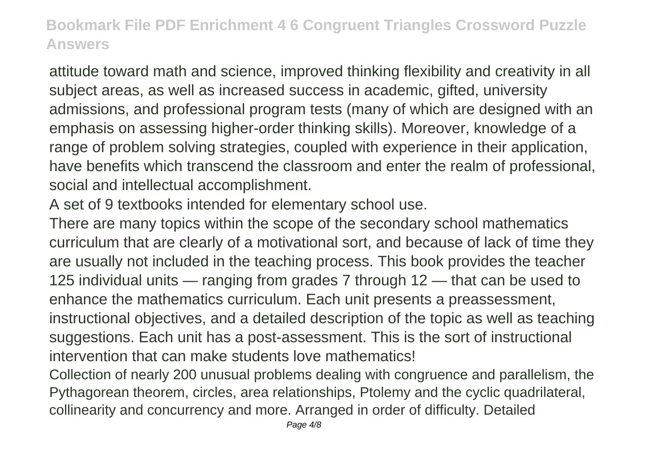attitude toward math and science, improved thinking flexibility and creativity in all subject areas, as well as increased success in academic, gifted, university admissions, and professional program tests (many of which are designed with an emphasis on assessing higher-order thinking skills). Moreover, knowledge of a range of problem solving strategies, coupled with experience in their application, have benefits which transcend the classroom and enter the realm of professional, social and intellectual accomplishment.

A set of 9 textbooks intended for elementary school use.

There are many topics within the scope of the secondary school mathematics curriculum that are clearly of a motivational sort, and because of lack of time they are usually not included in the teaching process. This book provides the teacher 125 individual units — ranging from grades 7 through 12 — that can be used to enhance the mathematics curriculum. Each unit presents a preassessment, instructional objectives, and a detailed description of the topic as well as teaching suggestions. Each unit has a post-assessment. This is the sort of instructional intervention that can make students love mathematics!

Collection of nearly 200 unusual problems dealing with congruence and parallelism, the Pythagorean theorem, circles, area relationships, Ptolemy and the cyclic quadrilateral, collinearity and concurrency and more. Arranged in order of difficulty. Detailed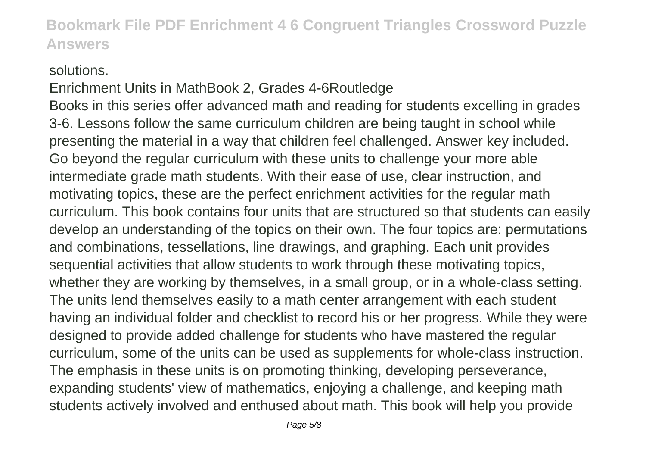#### solutions.

Enrichment Units in MathBook 2, Grades 4-6Routledge Books in this series offer advanced math and reading for students excelling in grades 3-6. Lessons follow the same curriculum children are being taught in school while presenting the material in a way that children feel challenged. Answer key included. Go beyond the regular curriculum with these units to challenge your more able intermediate grade math students. With their ease of use, clear instruction, and motivating topics, these are the perfect enrichment activities for the regular math curriculum. This book contains four units that are structured so that students can easily develop an understanding of the topics on their own. The four topics are: permutations and combinations, tessellations, line drawings, and graphing. Each unit provides sequential activities that allow students to work through these motivating topics, whether they are working by themselves, in a small group, or in a whole-class setting. The units lend themselves easily to a math center arrangement with each student having an individual folder and checklist to record his or her progress. While they were designed to provide added challenge for students who have mastered the regular curriculum, some of the units can be used as supplements for whole-class instruction. The emphasis in these units is on promoting thinking, developing perseverance, expanding students' view of mathematics, enjoying a challenge, and keeping math students actively involved and enthused about math. This book will help you provide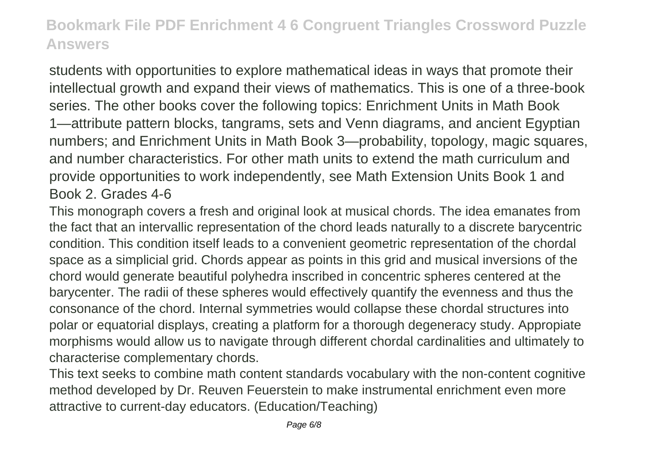students with opportunities to explore mathematical ideas in ways that promote their intellectual growth and expand their views of mathematics. This is one of a three-book series. The other books cover the following topics: Enrichment Units in Math Book 1—attribute pattern blocks, tangrams, sets and Venn diagrams, and ancient Egyptian numbers; and Enrichment Units in Math Book 3—probability, topology, magic squares, and number characteristics. For other math units to extend the math curriculum and provide opportunities to work independently, see Math Extension Units Book 1 and Book 2. Grades 4-6

This monograph covers a fresh and original look at musical chords. The idea emanates from the fact that an intervallic representation of the chord leads naturally to a discrete barycentric condition. This condition itself leads to a convenient geometric representation of the chordal space as a simplicial grid. Chords appear as points in this grid and musical inversions of the chord would generate beautiful polyhedra inscribed in concentric spheres centered at the barycenter. The radii of these spheres would effectively quantify the evenness and thus the consonance of the chord. Internal symmetries would collapse these chordal structures into polar or equatorial displays, creating a platform for a thorough degeneracy study. Appropiate morphisms would allow us to navigate through different chordal cardinalities and ultimately to characterise complementary chords.

This text seeks to combine math content standards vocabulary with the non-content cognitive method developed by Dr. Reuven Feuerstein to make instrumental enrichment even more attractive to current-day educators. (Education/Teaching)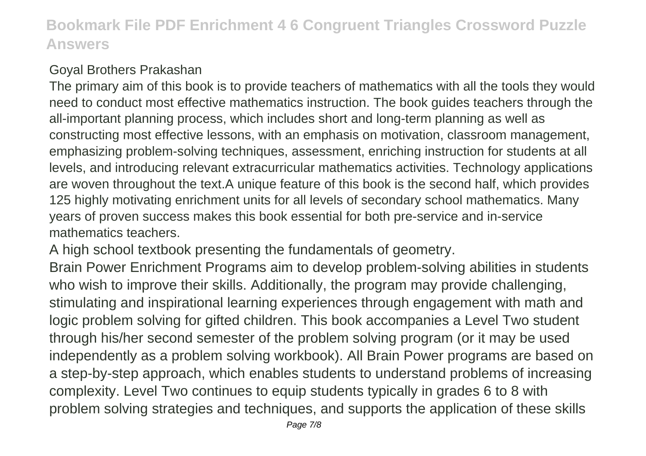### Goyal Brothers Prakashan

The primary aim of this book is to provide teachers of mathematics with all the tools they would need to conduct most effective mathematics instruction. The book guides teachers through the all-important planning process, which includes short and long-term planning as well as constructing most effective lessons, with an emphasis on motivation, classroom management, emphasizing problem-solving techniques, assessment, enriching instruction for students at all levels, and introducing relevant extracurricular mathematics activities. Technology applications are woven throughout the text.A unique feature of this book is the second half, which provides 125 highly motivating enrichment units for all levels of secondary school mathematics. Many years of proven success makes this book essential for both pre-service and in-service mathematics teachers.

A high school textbook presenting the fundamentals of geometry.

Brain Power Enrichment Programs aim to develop problem-solving abilities in students who wish to improve their skills. Additionally, the program may provide challenging, stimulating and inspirational learning experiences through engagement with math and logic problem solving for gifted children. This book accompanies a Level Two student through his/her second semester of the problem solving program (or it may be used independently as a problem solving workbook). All Brain Power programs are based on a step-by-step approach, which enables students to understand problems of increasing complexity. Level Two continues to equip students typically in grades 6 to 8 with problem solving strategies and techniques, and supports the application of these skills